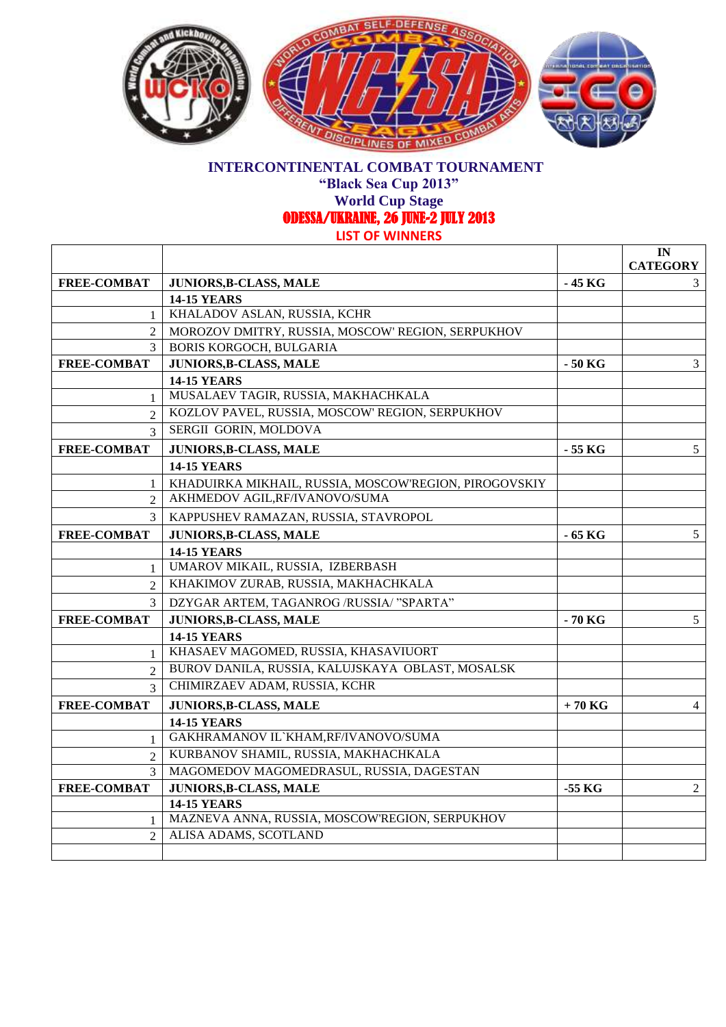

## **INTERCONTINENTAL COMBAT TOURNAMENT**

**"Black Sea Cup 2013"**

**World Cup Stage**  ODESSA/UKRAINE, 26 JUNE-2 JULY 2013

**IN** 

**LIST OF WINNERS**

 $\mathsf{r}$ 

|                     |                                                                      |          | ШN.             |
|---------------------|----------------------------------------------------------------------|----------|-----------------|
|                     |                                                                      |          | <b>CATEGORY</b> |
| <b>FREE-COMBAT</b>  | <b>JUNIORS, B-CLASS, MALE</b>                                        | - 45 KG  | 3               |
|                     | <b>14-15 YEARS</b><br>KHALADOV ASLAN, RUSSIA, KCHR                   |          |                 |
| $\overline{2}$      | MOROZOV DMITRY, RUSSIA, MOSCOW' REGION, SERPUKHOV                    |          |                 |
| 3                   | <b>BORIS KORGOCH, BULGARIA</b>                                       |          |                 |
| <b>FREE-COMBAT</b>  | <b>JUNIORS, B-CLASS, MALE</b>                                        | - 50 KG  | 3               |
|                     | <b>14-15 YEARS</b>                                                   |          |                 |
| 1                   | MUSALAEV TAGIR, RUSSIA, MAKHACHKALA                                  |          |                 |
| $\overline{2}$      | KOZLOV PAVEL, RUSSIA, MOSCOW' REGION, SERPUKHOV                      |          |                 |
| 3                   | SERGII GORIN, MOLDOVA                                                |          |                 |
| <b>FREE-COMBAT</b>  | JUNIORS, B-CLASS, MALE                                               | - 55 KG  | 5               |
|                     | <b>14-15 YEARS</b>                                                   |          |                 |
| 1                   | KHADUIRKA MIKHAIL, RUSSIA, MOSCOW'REGION, PIROGOVSKIY                |          |                 |
| $\mathfrak{D}$      | AKHMEDOV AGIL, RF/IVANOVO/SUMA                                       |          |                 |
| 3                   |                                                                      |          |                 |
|                     | KAPPUSHEV RAMAZAN, RUSSIA, STAVROPOL                                 |          |                 |
| <b>FREE-COMBAT</b>  | <b>JUNIORS, B-CLASS, MALE</b>                                        | $-65$ KG | 5 <sup>5</sup>  |
|                     | <b>14-15 YEARS</b><br>UMAROV MIKAIL, RUSSIA, IZBERBASH               |          |                 |
|                     | KHAKIMOV ZURAB, RUSSIA, MAKHACHKALA                                  |          |                 |
|                     |                                                                      |          |                 |
| 3                   | DZYGAR ARTEM, TAGANROG /RUSSIA/ "SPARTA"                             |          |                 |
| <b>FREE-COMBAT</b>  | <b>JUNIORS, B-CLASS, MALE</b>                                        | $-70$ KG | 5 <sup>5</sup>  |
|                     | <b>14-15 YEARS</b><br>KHASAEV MAGOMED, RUSSIA, KHASAVIUORT           |          |                 |
| $\mathbf{1}$        | BUROV DANILA, RUSSIA, KALUJSKAYA OBLAST, MOSALSK                     |          |                 |
| $\mathfrak{D}$      | CHIMIRZAEV ADAM, RUSSIA, KCHR                                        |          |                 |
| 3                   |                                                                      |          |                 |
| <b>FREE-COMBAT</b>  | <b>JUNIORS, B-CLASS, MALE</b>                                        | $+70$ KG | 4               |
|                     | <b>14-15 YEARS</b>                                                   |          |                 |
| 1                   | GAKHRAMANOV IL`KHAM,RF/IVANOVO/SUMA                                  |          |                 |
| $\mathfrak{D}$      | KURBANOV SHAMIL, RUSSIA, MAKHACHKALA                                 |          |                 |
|                     | MAGOMEDOV MAGOMEDRASUL, RUSSIA, DAGESTAN                             |          |                 |
| <b>FREE-COMBAT</b>  | JUNIORS, B-CLASS, MALE                                               | $-55$ KG | $\overline{2}$  |
|                     | <b>14-15 YEARS</b><br>MAZNEVA ANNA, RUSSIA, MOSCOW'REGION, SERPUKHOV |          |                 |
| 1<br>$\mathfrak{D}$ | ALISA ADAMS, SCOTLAND                                                |          |                 |
|                     |                                                                      |          |                 |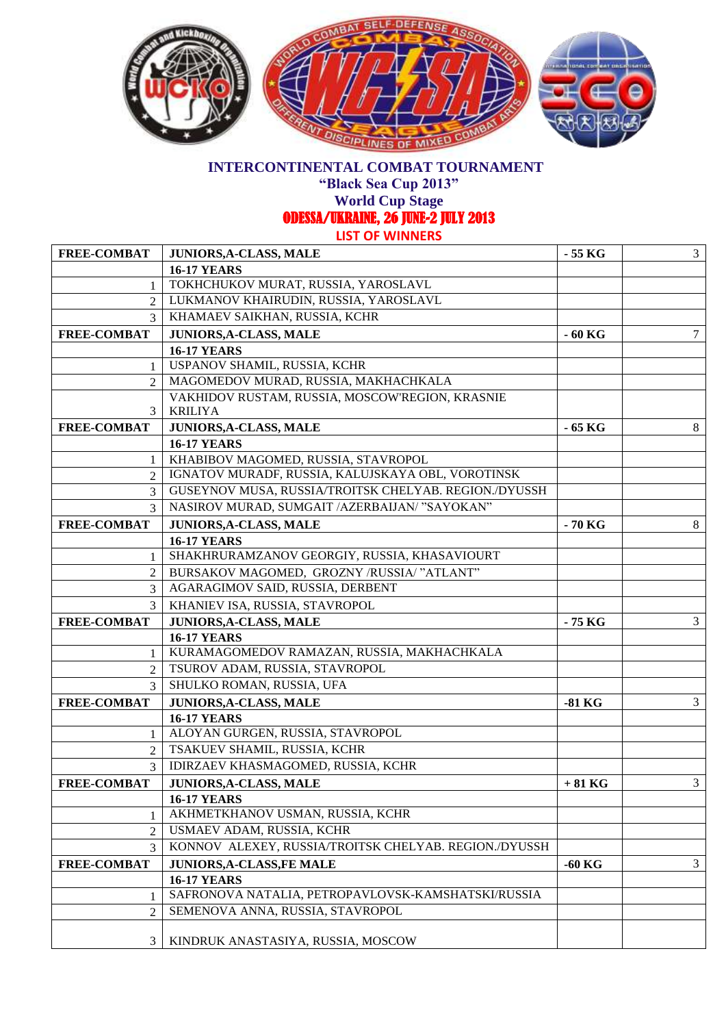

## **INTERCONTINENTAL COMBAT TOURNAMENT**

**"Black Sea Cup 2013"**

**World Cup Stage** 

ODESSA/UKRAINE, 26 JUNE-2 JULY 2013

**LIST OF WINNERS**

| <b>FREE-COMBAT</b>          | JUNIORS, A-CLASS, MALE                                | $-55$ KG | $\mathfrak{Z}$ |
|-----------------------------|-------------------------------------------------------|----------|----------------|
|                             | <b>16-17 YEARS</b>                                    |          |                |
| 1                           | TOKHCHUKOV MURAT, RUSSIA, YAROSLAVL                   |          |                |
| $\mathfrak{D}$              | LUKMANOV KHAIRUDIN, RUSSIA, YAROSLAVL                 |          |                |
| $\mathfrak{Z}$              | KHAMAEV SAIKHAN, RUSSIA, KCHR                         |          |                |
| <b>FREE-COMBAT</b>          | <b>JUNIORS, A-CLASS, MALE</b>                         | $-60$ KG | 7              |
|                             | <b>16-17 YEARS</b>                                    |          |                |
| 1                           | USPANOV SHAMIL, RUSSIA, KCHR                          |          |                |
| $\mathcal{D}_{\mathcal{L}}$ | MAGOMEDOV MURAD, RUSSIA, MAKHACHKALA                  |          |                |
|                             | VAKHIDOV RUSTAM, RUSSIA, MOSCOW'REGION, KRASNIE       |          |                |
| 3                           | <b>KRILIYA</b>                                        |          |                |
| <b>FREE-COMBAT</b>          | <b>JUNIORS, A-CLASS, MALE</b>                         | - 65 KG  | 8              |
|                             | <b>16-17 YEARS</b>                                    |          |                |
| 1                           | KHABIBOV MAGOMED, RUSSIA, STAVROPOL                   |          |                |
| 2                           | IGNATOV MURADF, RUSSIA, KALUJSKAYA OBL, VOROTINSK     |          |                |
| 3                           | GUSEYNOV MUSA, RUSSIA/TROITSK CHELYAB. REGION./DYUSSH |          |                |
| 3                           | NASIROV MURAD, SUMGAIT /AZERBAIJAN/ "SAYOKAN"         |          |                |
| <b>FREE-COMBAT</b>          | <b>JUNIORS, A-CLASS, MALE</b>                         | - 70 KG  | 8              |
|                             | <b>16-17 YEARS</b>                                    |          |                |
| $\mathbf{1}$                | SHAKHRURAMZANOV GEORGIY, RUSSIA, KHASAVIOURT          |          |                |
| $\overline{2}$              | BURSAKOV MAGOMED, GROZNY /RUSSIA/ "ATLANT"            |          |                |
| 3                           | AGARAGIMOV SAID, RUSSIA, DERBENT                      |          |                |
| 3                           | KHANIEV ISA, RUSSIA, STAVROPOL                        |          |                |
| <b>FREE-COMBAT</b>          | JUNIORS, A-CLASS, MALE                                | - 75 KG  | 3              |
|                             | <b>16-17 YEARS</b>                                    |          |                |
| 1                           | KURAMAGOMEDOV RAMAZAN, RUSSIA, MAKHACHKALA            |          |                |
| 2                           | TSUROV ADAM, RUSSIA, STAVROPOL                        |          |                |
| 3                           | SHULKO ROMAN, RUSSIA, UFA                             |          |                |
| <b>FREE-COMBAT</b>          | JUNIORS, A-CLASS, MALE                                | $-81$ KG | $\mathfrak{Z}$ |
|                             | <b>16-17 YEARS</b>                                    |          |                |
| 1                           | ALOYAN GURGEN, RUSSIA, STAVROPOL                      |          |                |
| $\overline{2}$              | TSAKUEV SHAMIL, RUSSIA, KCHR                          |          |                |
| 3                           | IDIRZAEV KHASMAGOMED, RUSSIA, KCHR                    |          |                |
| <b>FREE-COMBAT</b>          | JUNIORS, A-CLASS, MALE                                | $+81$ KG | $\mathfrak{Z}$ |
|                             | <b>16-17 YEARS</b>                                    |          |                |
| 1                           | AKHMETKHANOV USMAN, RUSSIA, KCHR                      |          |                |
| 2                           | USMAEV ADAM, RUSSIA, KCHR                             |          |                |
| 3                           | KONNOV ALEXEY, RUSSIA/TROITSK CHELYAB. REGION./DYUSSH |          |                |
| <b>FREE-COMBAT</b>          | <b>JUNIORS, A-CLASS, FE MALE</b>                      | $-60$ KG | 3              |
|                             | <b>16-17 YEARS</b>                                    |          |                |
|                             | SAFRONOVA NATALIA, PETROPAVLOVSK-KAMSHATSKI/RUSSIA    |          |                |
| $\overline{2}$              | SEMENOVA ANNA, RUSSIA, STAVROPOL                      |          |                |
|                             |                                                       |          |                |
| 3                           | KINDRUK ANASTASIYA, RUSSIA, MOSCOW                    |          |                |